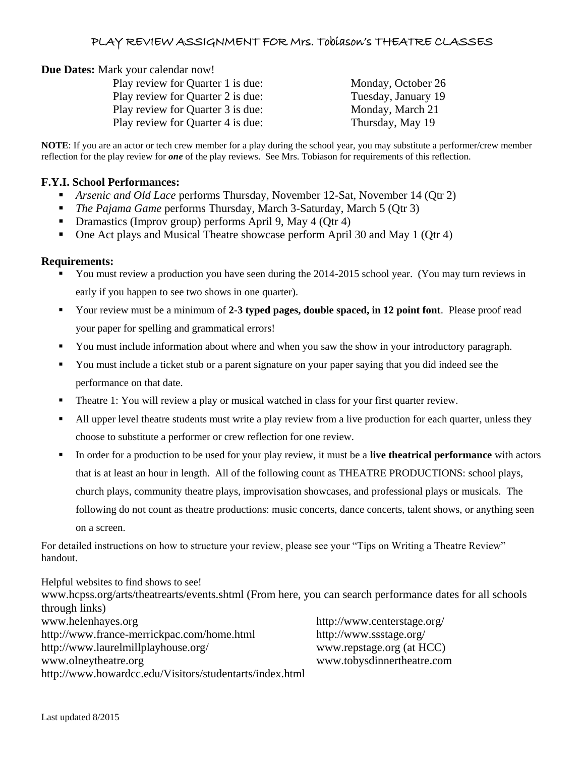## PLAY REVIEW ASSIGNMENT FOR Mrs. Tobiason's THEATRE CLASSES

**Due Dates:** Mark your calendar now!

| Play review for Quarter 1 is due: | Monday, October 26  |
|-----------------------------------|---------------------|
| Play review for Quarter 2 is due: | Tuesday, January 19 |
| Play review for Quarter 3 is due: | Monday, March 21    |
| Play review for Quarter 4 is due: | Thursday, May 19    |

**NOTE**: If you are an actor or tech crew member for a play during the school year, you may substitute a performer/crew member reflection for the play review for *one* of the play reviews. See Mrs. Tobiason for requirements of this reflection.

## **F.Y.I. School Performances:**

- *Arsenic and Old Lace* performs Thursday, November 12-Sat, November 14 (Qtr 2)
- *The Pajama Game* performs Thursday, March 3-Saturday, March 5 (Qtr 3)
- Dramastics (Improv group) performs April 9, May 4 (Otr 4)
- One Act plays and Musical Theatre showcase perform April 30 and May 1 (Qtr 4)

## **Requirements:**

- You must review a production you have seen during the 2014-2015 school year. (You may turn reviews in early if you happen to see two shows in one quarter).
- Your review must be a minimum of **2-3 typed pages, double spaced, in 12 point font**. Please proof read your paper for spelling and grammatical errors!
- You must include information about where and when you saw the show in your introductory paragraph.
- You must include a ticket stub or a parent signature on your paper saying that you did indeed see the performance on that date.
- Theatre 1: You will review a play or musical watched in class for your first quarter review.
- All upper level theatre students must write a play review from a live production for each quarter, unless they choose to substitute a performer or crew reflection for one review.
- In order for a production to be used for your play review, it must be a **live theatrical performance** with actors that is at least an hour in length. All of the following count as THEATRE PRODUCTIONS: school plays, church plays, community theatre plays, improvisation showcases, and professional plays or musicals. The following do not count as theatre productions: music concerts, dance concerts, talent shows, or anything seen on a screen.

For detailed instructions on how to structure your review, please see your "Tips on Writing a Theatre Review" handout.

Helpful websites to find shows to see! www.hcpss.org/arts/theatrearts/events.shtml (From here, you can search performance dates for all schools through links) www.helenhayes.org <http://www.centerstage.org/> <http://www.france-merrickpac.com/home.html> <http://www.ssstage.org/> <http://www.laurelmillplayhouse.org/> www.repstage.org (at HCC) [www.olneytheatre.org](http://www.olneytheatre.org/) www.tobysdinnertheatre.com <http://www.howardcc.edu/Visitors/studentarts/index.html>